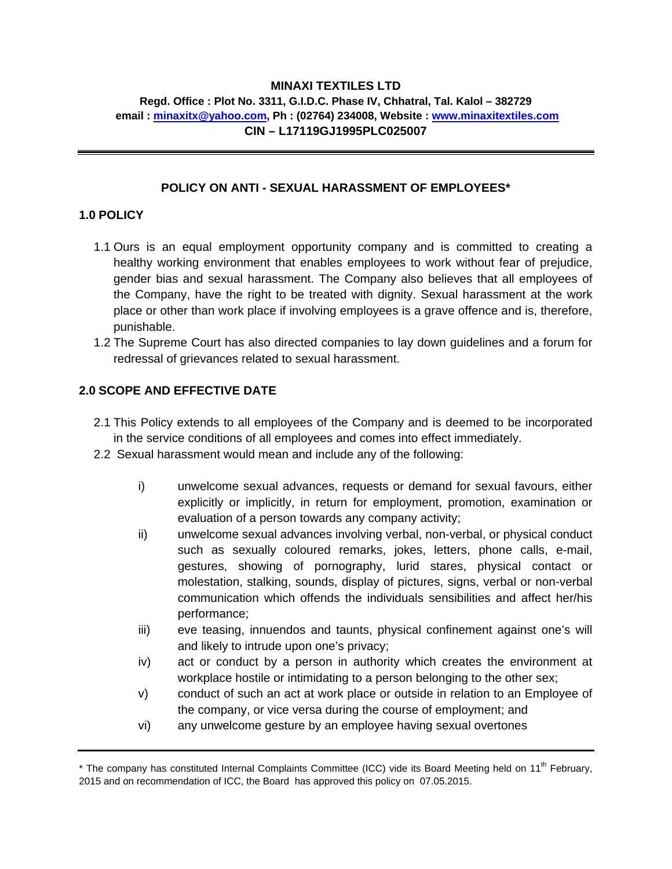# **MINAXI TEXTILES LTD**

## **Regd. Office : Plot No. 3311, G.I.D.C. Phase IV, Chhatral, Tal. Kalol – 382729 email : minaxitx@yahoo.com, Ph : (02764) 234008, Website : www.minaxitextiles.com CIN – L17119GJ1995PLC025007**

# **POLICY ON ANTI - SEXUAL HARASSMENT OF EMPLOYEES\***

#### **1.0 POLICY**

- 1.1 Ours is an equal employment opportunity company and is committed to creating a healthy working environment that enables employees to work without fear of prejudice, gender bias and sexual harassment. The Company also believes that all employees of the Company, have the right to be treated with dignity. Sexual harassment at the work place or other than work place if involving employees is a grave offence and is, therefore, punishable.
- 1.2 The Supreme Court has also directed companies to lay down guidelines and a forum for redressal of grievances related to sexual harassment.

# **2.0 SCOPE AND EFFECTIVE DATE**

- 2.1 This Policy extends to all employees of the Company and is deemed to be incorporated in the service conditions of all employees and comes into effect immediately.
- 2.2 Sexual harassment would mean and include any of the following:
	- i) unwelcome sexual advances, requests or demand for sexual favours, either explicitly or implicitly, in return for employment, promotion, examination or evaluation of a person towards any company activity;
	- ii) unwelcome sexual advances involving verbal, non-verbal, or physical conduct such as sexually coloured remarks, jokes, letters, phone calls, e-mail, gestures, showing of pornography, lurid stares, physical contact or molestation, stalking, sounds, display of pictures, signs, verbal or non-verbal communication which offends the individuals sensibilities and affect her/his performance;
	- iii) eve teasing, innuendos and taunts, physical confinement against one's will and likely to intrude upon one's privacy;
	- iv) act or conduct by a person in authority which creates the environment at workplace hostile or intimidating to a person belonging to the other sex;
	- v) conduct of such an act at work place or outside in relation to an Employee of the company, or vice versa during the course of employment; and
	- vi) any unwelcome gesture by an employee having sexual overtones

<sup>\*</sup> The company has constituted Internal Complaints Committee (ICC) vide its Board Meeting held on 11<sup>th</sup> February, 2015 and on recommendation of ICC, the Board has approved this policy on 07.05.2015.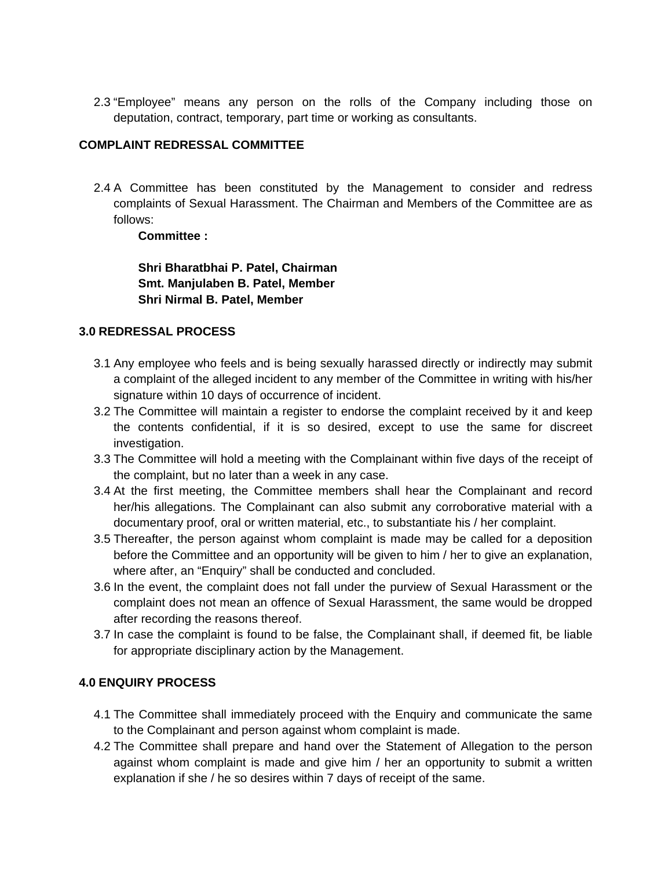2.3 "Employee" means any person on the rolls of the Company including those on deputation, contract, temporary, part time or working as consultants.

# **COMPLAINT REDRESSAL COMMITTEE**

2.4 A Committee has been constituted by the Management to consider and redress complaints of Sexual Harassment. The Chairman and Members of the Committee are as follows:

# **Committee :**

**Shri Bharatbhai P. Patel, Chairman Smt. Manjulaben B. Patel, Member Shri Nirmal B. Patel, Member** 

# **3.0 REDRESSAL PROCESS**

- 3.1 Any employee who feels and is being sexually harassed directly or indirectly may submit a complaint of the alleged incident to any member of the Committee in writing with his/her signature within 10 days of occurrence of incident.
- 3.2 The Committee will maintain a register to endorse the complaint received by it and keep the contents confidential, if it is so desired, except to use the same for discreet investigation.
- 3.3 The Committee will hold a meeting with the Complainant within five days of the receipt of the complaint, but no later than a week in any case.
- 3.4 At the first meeting, the Committee members shall hear the Complainant and record her/his allegations. The Complainant can also submit any corroborative material with a documentary proof, oral or written material, etc., to substantiate his / her complaint.
- 3.5 Thereafter, the person against whom complaint is made may be called for a deposition before the Committee and an opportunity will be given to him / her to give an explanation, where after, an "Enquiry" shall be conducted and concluded.
- 3.6 In the event, the complaint does not fall under the purview of Sexual Harassment or the complaint does not mean an offence of Sexual Harassment, the same would be dropped after recording the reasons thereof.
- 3.7 In case the complaint is found to be false, the Complainant shall, if deemed fit, be liable for appropriate disciplinary action by the Management.

# **4.0 ENQUIRY PROCESS**

- 4.1 The Committee shall immediately proceed with the Enquiry and communicate the same to the Complainant and person against whom complaint is made.
- 4.2 The Committee shall prepare and hand over the Statement of Allegation to the person against whom complaint is made and give him / her an opportunity to submit a written explanation if she / he so desires within 7 days of receipt of the same.